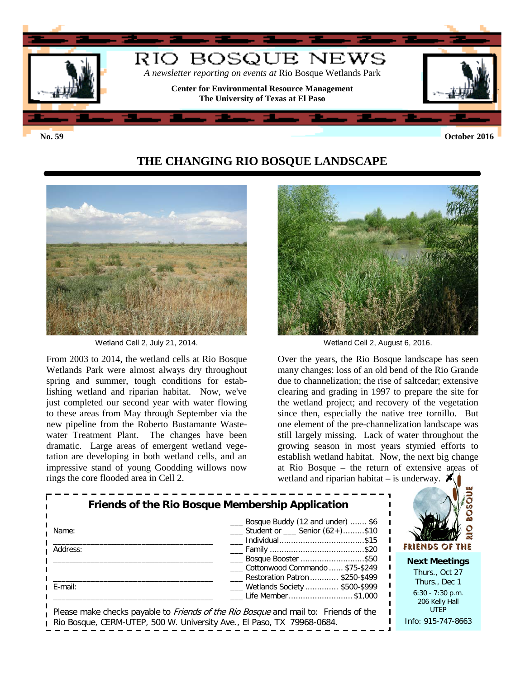

**No. 59 October 2016**

## **THE CHANGING RIO BOSQUE LANDSCAPE**



Wetland Cell 2, July 21, 2014. Netland Cell 2, August 6, 2016.

From 2003 to 2014, the wetland cells at Rio Bosque Wetlands Park were almost always dry throughout spring and summer, tough conditions for establishing wetland and riparian habitat. Now, we've just completed our second year with water flowing to these areas from May through September via the new pipeline from the Roberto Bustamante Wastewater Treatment Plant. The changes have been dramatic. Large areas of emergent wetland vegetation are developing in both wetland cells, and an impressive stand of young Goodding willows now rings the core flooded area in Cell 2.



Over the years, the Rio Bosque landscape has seen many changes: loss of an old bend of the Rio Grande due to channelization; the rise of saltcedar; extensive clearing and grading in 1997 to prepare the site for the wetland project; and recovery of the vegetation since then, especially the native tree tornillo. But one element of the pre-channelization landscape was still largely missing. Lack of water throughout the growing season in most years stymied efforts to establish wetland habitat. Now, the next big change at Rio Bosque – the return of extensive areas of wetland and riparian habitat – is underway.  $\mathcal{K}$ 

| Name:<br>Address: | <b>Friends of the Rio Bosque Membership Application</b><br>__ Bosque Buddy (12 and under)  \$6<br>$\frac{1}{1}$ Student or $\frac{1}{1}$ Senior (62+)\$10            | FRIENDS OF THE                                        |
|-------------------|----------------------------------------------------------------------------------------------------------------------------------------------------------------------|-------------------------------------------------------|
|                   | Bosque Booster \$50<br>Cottonwood Commando  \$75-\$249<br>Restoration Patron  \$250-\$499                                                                            | <b>Next Meetings</b><br>Thurs., Oct 27                |
| ∟ E-mail:         | __ Wetlands Society  \$500-\$999<br>Life Member \$1,000                                                                                                              | Thurs., Dec 1<br>$6:30 - 7:30$ p.m.<br>206 Kelly Hall |
|                   | Please make checks payable to <i>Friends of the Rio Bosque</i> and mail to: Friends of the<br>Rio Bosque, CERM-UTEP, 500 W. University Ave., El Paso, TX 79968-0684. | <b>UTEP</b><br>Info: 915-747-8663                     |